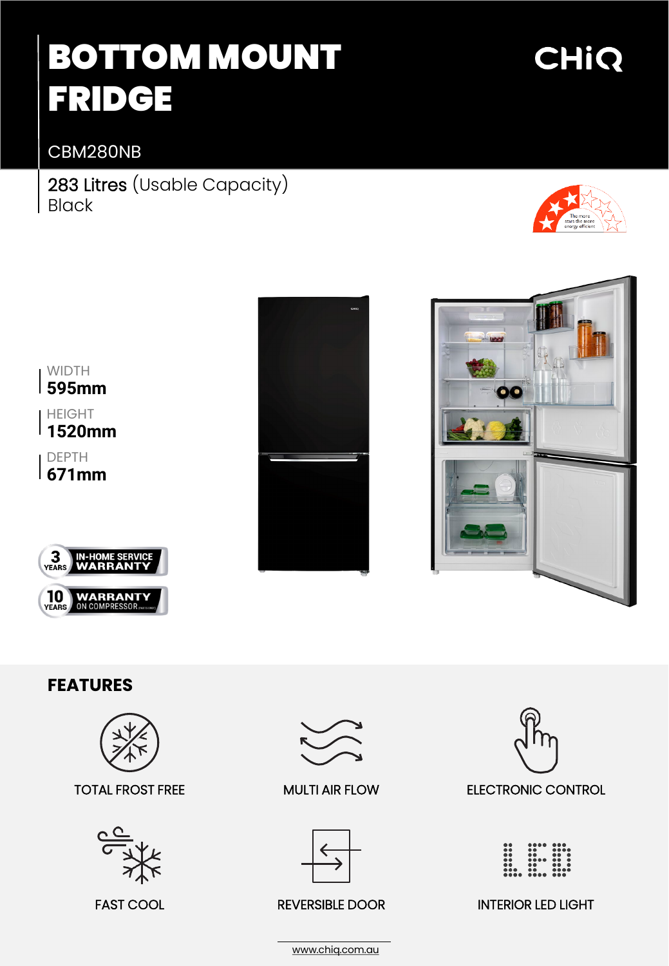# BOTTOM MOUNT FRIDGE

### CBM280NB

283 Litres (Usable Capacity) Black



**CHIQ** 



**1520mm**

DEPTH **671mm**







#### **FEATURES**



TOTAL FROST FREE MULTI AIR FLOW







REVERSIBLE DOOR



FAST COOL **EXAMPLE PROPER REVERSIBLE DOOR** INTERIOR LED LIGHT

[www.chiq.com.au](http://www.chiq.com.au/)